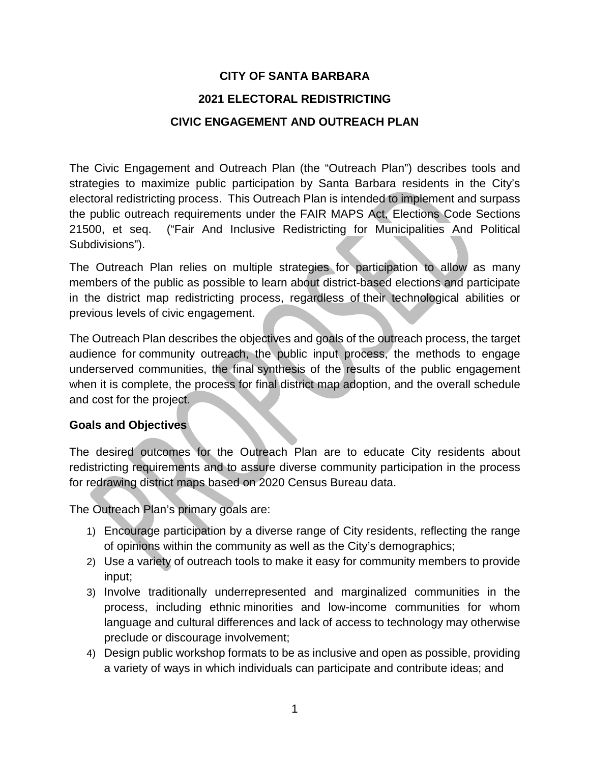# **CITY OF SANTA BARBARA 2021 ELECTORAL REDISTRICTING CIVIC ENGAGEMENT AND OUTREACH PLAN**

The Civic Engagement and Outreach Plan (the "Outreach Plan") describes tools and strategies to maximize public participation by Santa Barbara residents in the City's electoral redistricting process. This Outreach Plan is intended to implement and surpass the public outreach requirements under the FAIR MAPS Act, Elections Code Sections 21500, et seq. ("Fair And Inclusive Redistricting for Municipalities And Political Subdivisions").

The Outreach Plan relies on multiple strategies for participation to allow as many members of the public as possible to learn about district-based elections and participate in the district map redistricting process, regardless of their technological abilities or previous levels of civic engagement.

The Outreach Plan describes the objectives and goals of the outreach process, the target audience for community outreach, the public input process, the methods to engage underserved communities, the final synthesis of the results of the public engagement when it is complete, the process for final district map adoption, and the overall schedule and cost for the project.

#### **Goals and Objectives**

The desired outcomes for the Outreach Plan are to educate City residents about redistricting requirements and to assure diverse community participation in the process for redrawing district maps based on 2020 Census Bureau data.

The Outreach Plan's primary goals are:

- 1) Encourage participation by a diverse range of City residents, reflecting the range of opinions within the community as well as the City's demographics;
- 2) Use a variety of outreach tools to make it easy for community members to provide input;
- 3) Involve traditionally underrepresented and marginalized communities in the process, including ethnic minorities and low-income communities for whom language and cultural differences and lack of access to technology may otherwise preclude or discourage involvement;
- 4) Design public workshop formats to be as inclusive and open as possible, providing a variety of ways in which individuals can participate and contribute ideas; and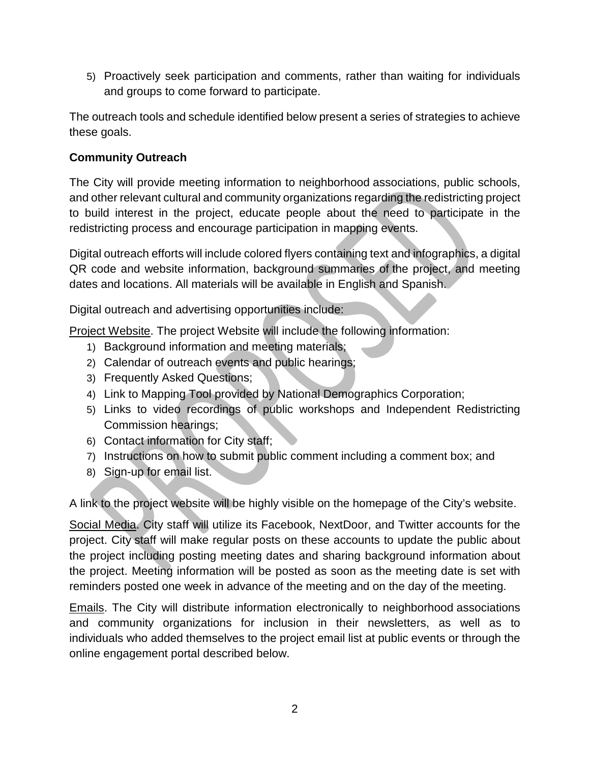5) Proactively seek participation and comments, rather than waiting for individuals and groups to come forward to participate.

The outreach tools and schedule identified below present a series of strategies to achieve these goals.

### **Community Outreach**

The City will provide meeting information to neighborhood associations, public schools, and other relevant cultural and community organizations regarding the redistricting project to build interest in the project, educate people about the need to participate in the redistricting process and encourage participation in mapping events.

Digital outreach efforts will include colored flyers containing text and infographics, a digital QR code and website information, background summaries of the project, and meeting dates and locations. All materials will be available in English and Spanish.

Digital outreach and advertising opportunities include:

Project Website. The project Website will include the following information:

- 1) Background information and meeting materials;
- 2) Calendar of outreach events and public hearings;
- 3) Frequently Asked Questions;
- 4) Link to Mapping Tool provided by National Demographics Corporation;
- 5) Links to video recordings of public workshops and Independent Redistricting Commission hearings;
- 6) Contact information for City staff;
- 7) Instructions on how to submit public comment including a comment box; and
- 8) Sign-up for email list.

A link to the project website will be highly visible on the homepage of the City's website.

Social Media. City staff will utilize its Facebook, NextDoor, and Twitter accounts for the project. City staff will make regular posts on these accounts to update the public about the project including posting meeting dates and sharing background information about the project. Meeting information will be posted as soon as the meeting date is set with reminders posted one week in advance of the meeting and on the day of the meeting.

Emails. The City will distribute information electronically to neighborhood associations and community organizations for inclusion in their newsletters, as well as to individuals who added themselves to the project email list at public events or through the online engagement portal described below.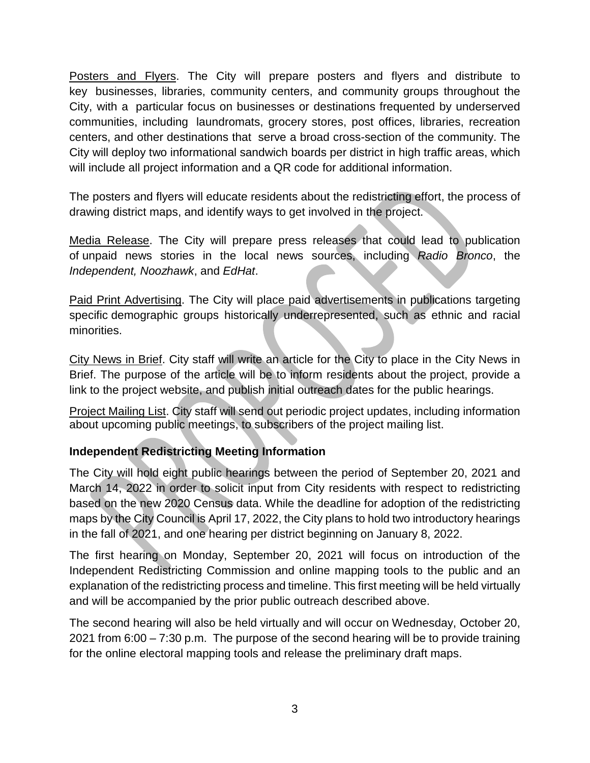Posters and Flyers. The City will prepare posters and flyers and distribute to key businesses, libraries, community centers, and community groups throughout the City, with a particular focus on businesses or destinations frequented by underserved communities, including laundromats, grocery stores, post offices, libraries, recreation centers, and other destinations that serve a broad cross-section of the community. The City will deploy two informational sandwich boards per district in high traffic areas, which will include all project information and a QR code for additional information.

The posters and flyers will educate residents about the redistricting effort, the process of drawing district maps, and identify ways to get involved in the project.

Media Release. The City will prepare press releases that could lead to publication of unpaid news stories in the local news sources, including *Radio Bronco*, the *Independent, Noozhawk*, and *EdHat*.

Paid Print Advertising. The City will place paid advertisements in publications targeting specific demographic groups historically underrepresented, such as ethnic and racial minorities.

City News in Brief. City staff will write an article for the City to place in the City News in Brief. The purpose of the article will be to inform residents about the project, provide a link to the project website, and publish initial outreach dates for the public hearings.

Project Mailing List. City staff will send out periodic project updates, including information about upcoming public meetings, to subscribers of the project mailing list.

## **Independent Redistricting Meeting Information**

The City will hold eight public hearings between the period of September 20, 2021 and March 14, 2022 in order to solicit input from City residents with respect to redistricting based on the new 2020 Census data. While the deadline for adoption of the redistricting maps by the City Council is April 17, 2022, the City plans to hold two introductory hearings in the fall of 2021, and one hearing per district beginning on January 8, 2022.

The first hearing on Monday, September 20, 2021 will focus on introduction of the Independent Redistricting Commission and online mapping tools to the public and an explanation of the redistricting process and timeline. This first meeting will be held virtually and will be accompanied by the prior public outreach described above.

The second hearing will also be held virtually and will occur on Wednesday, October 20, 2021 from 6:00 – 7:30 p.m. The purpose of the second hearing will be to provide training for the online electoral mapping tools and release the preliminary draft maps.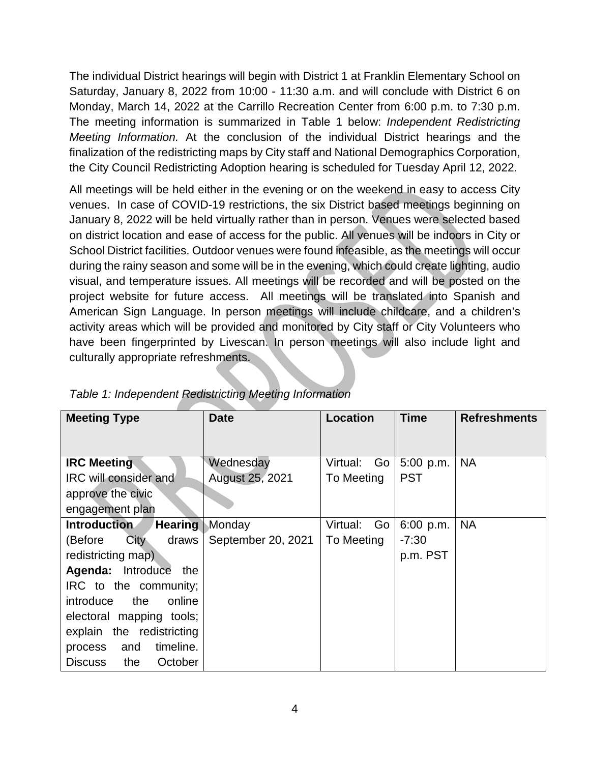The individual District hearings will begin with District 1 at Franklin Elementary School on Saturday, January 8, 2022 from 10:00 - 11:30 a.m. and will conclude with District 6 on Monday, March 14, 2022 at the Carrillo Recreation Center from 6:00 p.m. to 7:30 p.m. The meeting information is summarized in Table 1 below: *Independent Redistricting Meeting Information.* At the conclusion of the individual District hearings and the finalization of the redistricting maps by City staff and National Demographics Corporation, the City Council Redistricting Adoption hearing is scheduled for Tuesday April 12, 2022.

All meetings will be held either in the evening or on the weekend in easy to access City venues. In case of COVID-19 restrictions, the six District based meetings beginning on January 8, 2022 will be held virtually rather than in person. Venues were selected based on district location and ease of access for the public. All venues will be indoors in City or School District facilities. Outdoor venues were found infeasible, as the meetings will occur during the rainy season and some will be in the evening, which could create lighting, audio visual, and temperature issues. All meetings will be recorded and will be posted on the project website for future access. All meetings will be translated into Spanish and American Sign Language. In person meetings will include childcare, and a children's activity areas which will be provided and monitored by City staff or City Volunteers who have been fingerprinted by Livescan. In person meetings will also include light and culturally appropriate refreshments.

| <b>Meeting Type</b>                   | <b>Date</b>            | Location       | <b>Time</b> | <b>Refreshments</b> |
|---------------------------------------|------------------------|----------------|-------------|---------------------|
|                                       |                        |                |             |                     |
| <b>IRC Meeting</b>                    | Wednesday              | Virtual:       | 5:00 p.m.   | <b>NA</b>           |
|                                       |                        | Go             |             |                     |
| IRC will consider and                 | <b>August 25, 2021</b> | To Meeting     | <b>PST</b>  |                     |
| approve the civic                     |                        |                |             |                     |
| engagement plan                       |                        |                |             |                     |
| <b>Introduction</b><br><b>Hearing</b> | Monday                 | Go<br>Virtual: | $6:00$ p.m. | <b>NA</b>           |
| <b>City</b><br>(Before<br>draws       | September 20, 2021     | To Meeting     | $-7:30$     |                     |
| redistricting map)                    |                        |                | p.m. PST    |                     |
| Agenda: Introduce<br>the              |                        |                |             |                     |
| IRC to the community;                 |                        |                |             |                     |
| introduce<br>the<br>online            |                        |                |             |                     |
| electoral mapping tools;              |                        |                |             |                     |
| explain the redistricting             |                        |                |             |                     |
| timeline.<br>and<br>process           |                        |                |             |                     |
| the<br><b>Discuss</b><br>October      |                        |                |             |                     |

| Table 1: Independent Redistricting Meeting Information |  |  |
|--------------------------------------------------------|--|--|
|                                                        |  |  |
|                                                        |  |  |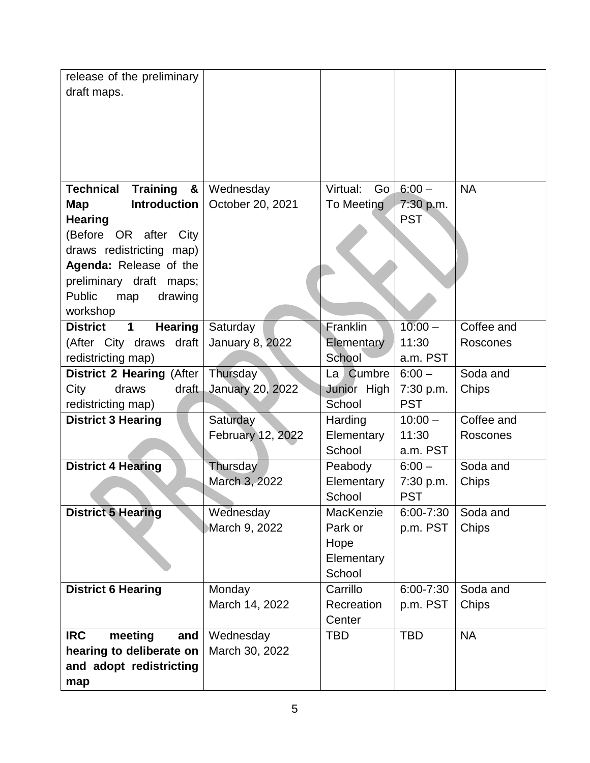| release of the preliminary<br>draft maps.                                                                                                                                                                                             |                                    |                                                      |                                     |                        |
|---------------------------------------------------------------------------------------------------------------------------------------------------------------------------------------------------------------------------------------|------------------------------------|------------------------------------------------------|-------------------------------------|------------------------|
|                                                                                                                                                                                                                                       |                                    |                                                      |                                     |                        |
|                                                                                                                                                                                                                                       |                                    |                                                      |                                     |                        |
| <b>Technical</b><br><b>Training</b><br>&<br><b>Introduction</b><br>Map<br><b>Hearing</b><br>(Before OR after City<br>draws redistricting map)<br>Agenda: Release of the<br>preliminary draft maps;<br><b>Public</b><br>drawing<br>map | Wednesday<br>October 20, 2021      | Virtual:<br>Go<br>To Meeting                         | $6:00 -$<br>7:30 p.m.<br><b>PST</b> | <b>NA</b>              |
| workshop                                                                                                                                                                                                                              |                                    |                                                      |                                     |                        |
| <b>District</b><br><b>Hearing</b><br>$\mathbf 1$<br>(After City draws draft<br>redistricting map)                                                                                                                                     | Saturday<br><b>January 8, 2022</b> | Franklin<br>Elementary<br>School                     | $10:00 -$<br>11:30<br>a.m. PST      | Coffee and<br>Roscones |
| <b>District 2 Hearing (After</b>                                                                                                                                                                                                      | Thursday                           | La Cumbre                                            | $6:00 -$                            | Soda and               |
| draft<br>City<br>draws<br>redistricting map)                                                                                                                                                                                          | <b>January 20, 2022</b>            | Junior High<br>School                                | 7:30 p.m.<br><b>PST</b>             | Chips                  |
| <b>District 3 Hearing</b>                                                                                                                                                                                                             | Saturday<br>February 12, 2022      | Harding<br>Elementary<br>School                      | $10:00 -$<br>11:30<br>a.m. PST      | Coffee and<br>Roscones |
| <b>District 4 Hearing</b>                                                                                                                                                                                                             | Thursday<br>March 3, 2022          | Peabody<br>Elementary<br>School                      | $6:00 -$<br>7:30 p.m.<br><b>PST</b> | Soda and<br>Chips      |
| <b>District 5 Hearing</b>                                                                                                                                                                                                             | Wednesday<br>March 9, 2022         | MacKenzie<br>Park or<br>Hope<br>Elementary<br>School | 6:00-7:30<br>p.m. PST               | Soda and<br>Chips      |
| <b>District 6 Hearing</b>                                                                                                                                                                                                             | Monday<br>March 14, 2022           | Carrillo<br>Recreation<br>Center                     | 6:00-7:30<br>p.m. PST               | Soda and<br>Chips      |
| <b>IRC</b><br>meeting<br>and<br>hearing to deliberate on<br>and adopt redistricting<br>map                                                                                                                                            | Wednesday<br>March 30, 2022        | <b>TBD</b>                                           | <b>TBD</b>                          | <b>NA</b>              |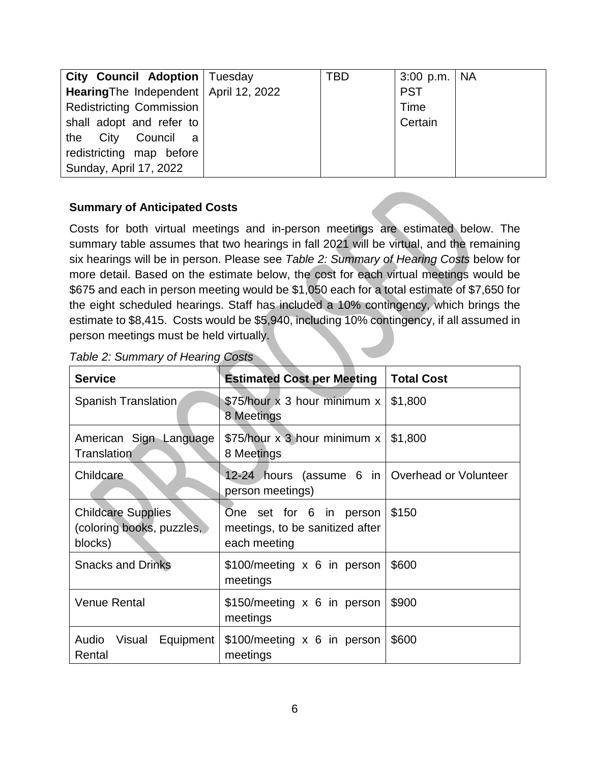| City Council Adoption   Tuesday          | TBD | 3:00 p.m.   NA |  |
|------------------------------------------|-----|----------------|--|
| Hearing The Independent   April 12, 2022 |     | <b>PST</b>     |  |
| <b>Redistricting Commission</b>          |     | Time           |  |
| shall adopt and refer to                 |     | Certain        |  |
| the City Council a                       |     |                |  |
| redistricting map before                 |     |                |  |
| Sunday, April 17, 2022                   |     |                |  |

#### **Summary of Anticipated Costs**

Costs for both virtual meetings and in-person meetings are estimated below. The summary table assumes that two hearings in fall 2021 will be virtual, and the remaining six hearings will be in person. Please see *Table 2: Summary of Hearing Costs* below for more detail. Based on the estimate below, the cost for each virtual meetings would be \$675 and each in person meeting would be \$1,050 each for a total estimate of \$7,650 for the eight scheduled hearings. Staff has included a 10% contingency, which brings the estimate to \$8,415. Costs would be \$5,940, including 10% contingency, if all assumed in person meetings must be held virtually.

| <b>Service</b>                                                    | <b>Estimated Cost per Meeting</b>                                          | <b>Total Cost</b> |
|-------------------------------------------------------------------|----------------------------------------------------------------------------|-------------------|
| Spanish Translation                                               | \$75/hour x 3 hour minimum x<br>8 Meetings                                 | \$1,800           |
| American Sign Language<br><b>Translation</b>                      | \$75/hour x 3 hour minimum x<br>8 Meetings                                 | \$1,800           |
| Childcare                                                         | 12-24 hours (assume 6 in Overhead or Volunteer<br>person meetings)         |                   |
| <b>Childcare Supplies</b><br>(coloring books, puzzles,<br>blocks) | One set for 6 in person<br>meetings, to be sanitized after<br>each meeting | \$150             |
| <b>Snacks and Drinks</b>                                          | \$100/meeting x 6 in person<br>meetings                                    | \$600             |
| <b>Venue Rental</b>                                               | \$150/meeting x 6 in person<br>meetings                                    | \$900             |
| Audio<br>Visual<br>Equipment<br>Rental                            | \$100/meeting x 6 in person<br>meetings                                    | \$600             |

*Table 2: Summary of Hearing Costs*